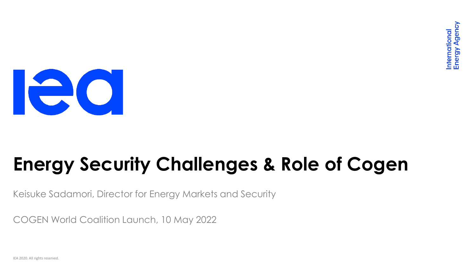

# **Energy Security Challenges & Role of Cogen**

Keisuke Sadamori, Director for Energy Markets and Security

COGEN World Coalition Launch, 10 May 2022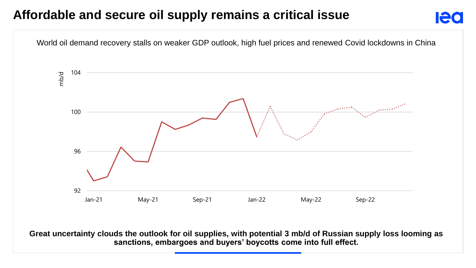#### **Affordable and secure oil supply remains a critical issue**

World oil demand recovery stalls on weaker GDP outlook, high fuel prices and renewed Covid lockdowns in China 104 mb/d**Propriet Community** 100 96 92 Jan-21 May-21 Sep-21 Jan-22 May-22 Sep-22

lec

**Great uncertainty clouds the outlook for oil supplies, with potential 3 mb/d of Russian supply loss looming as sanctions, embargoes and buyers' boycotts come into full effect.**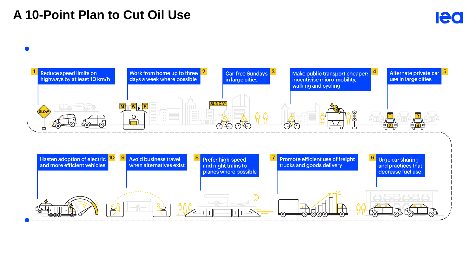#### **A 10-Point Plan to Cut Oil Use**

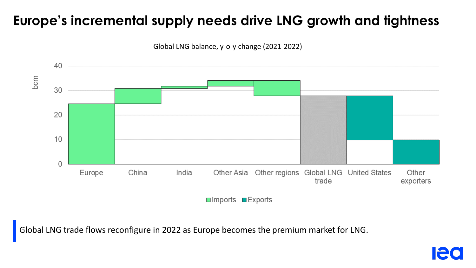## **Europe's incremental supply needs drive LNG growth and tightness**



Global LNG trade flows reconfigure in 2022 as Europe becomes the premium market for LNG.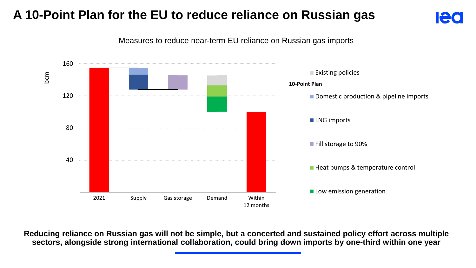### **A 10-Point Plan for the EU to reduce reliance on Russian gas**



**Ied** 

**Reducing reliance on Russian gas will not be simple, but a concerted and sustained policy effort across multiple sectors, alongside strong international collaboration, could bring down imports by one-third within one year**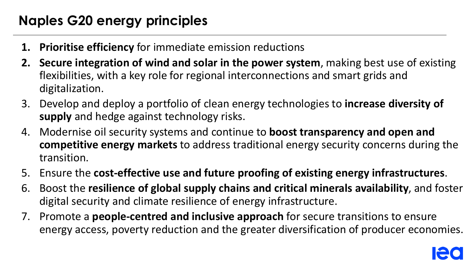## **Naples G20 energy principles**

- **1. Prioritise efficiency** for immediate emission reductions
- **2. Secure integration of wind and solar in the power system**, making best use of existing flexibilities, with a key role for regional interconnections and smart grids and digitalization.
- 3. Develop and deploy a portfolio of clean energy technologies to **increase diversity of supply** and hedge against technology risks.
- 4. Modernise oil security systems and continue to **boost transparency and open and competitive energy markets** to address traditional energy security concerns during the transition.
- 5. Ensure the **cost-effective use and future proofing of existing energy infrastructures**.
- 6. Boost the **resilience of global supply chains and critical minerals availability**, and foster digital security and climate resilience of energy infrastructure.
- 7. Promote a **people-centred and inclusive approach** for secure transitions to ensure energy access, poverty reduction and the greater diversification of producer economies.